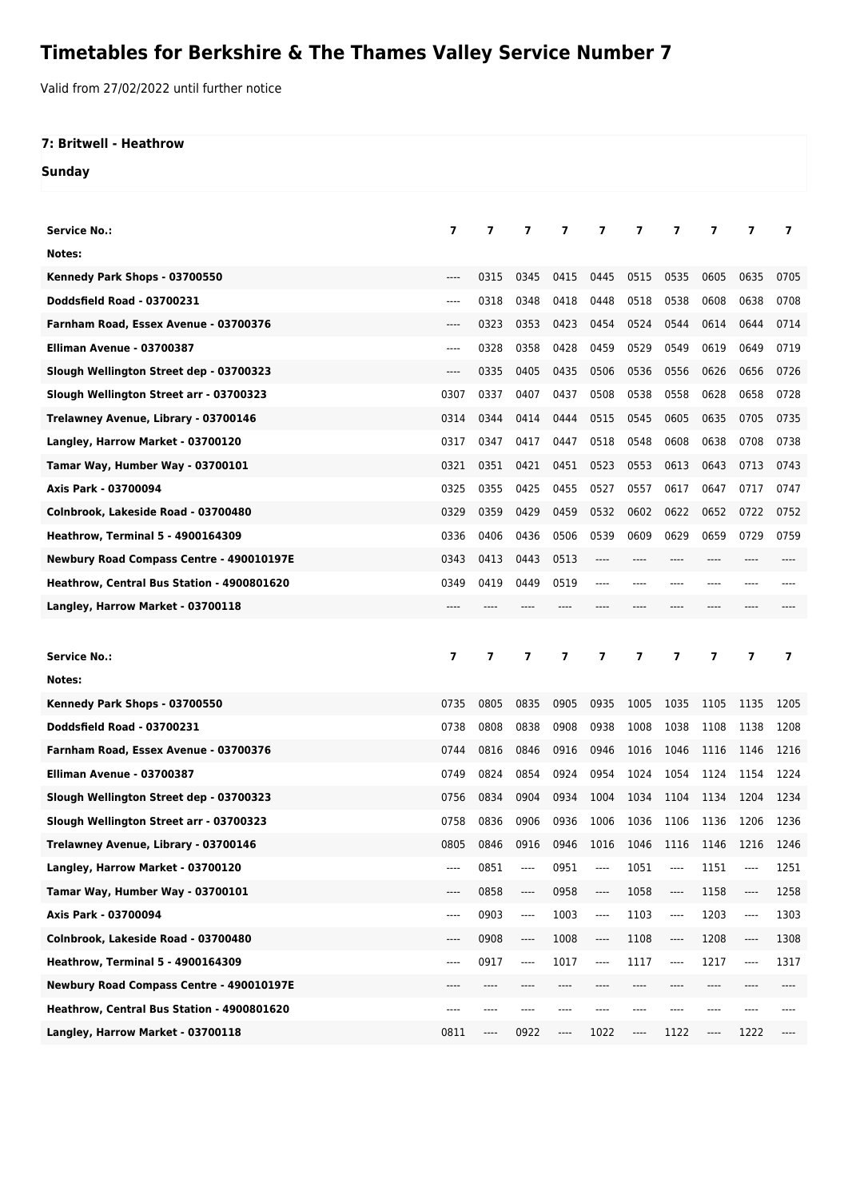## **Timetables for Berkshire & The Thames Valley Service Number 7**

Valid from 27/02/2022 until further notice

## **7: Britwell - Heathrow**

**Sunday**

| <b>Service No.:</b>                        | 7              | 7              | 7                             | 7    | 7                                  | 7    | 7                             | 7     | 7                        | 7                        |
|--------------------------------------------|----------------|----------------|-------------------------------|------|------------------------------------|------|-------------------------------|-------|--------------------------|--------------------------|
| Notes:                                     |                |                |                               |      |                                    |      |                               |       |                          |                          |
| Kennedy Park Shops - 03700550              | $---$          | 0315           | 0345                          | 0415 | 0445                               | 0515 | 0535                          | 0605  | 0635                     | 0705                     |
| Doddsfield Road - 03700231                 | $---$          | 0318           | 0348                          | 0418 | 0448                               | 0518 | 0538                          | 0608  | 0638                     | 0708                     |
| Farnham Road, Essex Avenue - 03700376      | $---$          | 0323           | 0353                          | 0423 | 0454                               | 0524 | 0544                          | 0614  | 0644                     | 0714                     |
| Elliman Avenue - 03700387                  | $---$          | 0328           | 0358                          | 0428 | 0459                               | 0529 | 0549                          | 0619  | 0649                     | 0719                     |
| Slough Wellington Street dep - 03700323    | $---$          | 0335           | 0405                          | 0435 | 0506                               | 0536 | 0556                          | 0626  | 0656                     | 0726                     |
| Slough Wellington Street arr - 03700323    | 0307           | 0337           | 0407                          | 0437 | 0508                               | 0538 | 0558                          | 0628  | 0658                     | 0728                     |
| Trelawney Avenue, Library - 03700146       | 0314           | 0344           | 0414                          | 0444 | 0515                               | 0545 | 0605                          | 0635  | 0705                     | 0735                     |
| Langley, Harrow Market - 03700120          | 0317           | 0347           | 0417                          | 0447 | 0518                               | 0548 | 0608                          | 0638  | 0708                     | 0738                     |
| Tamar Way, Humber Way - 03700101           | 0321           | 0351           | 0421                          | 0451 | 0523                               | 0553 | 0613                          | 0643  | 0713                     | 0743                     |
| Axis Park - 03700094                       | 0325           | 0355           | 0425                          | 0455 | 0527                               | 0557 | 0617                          | 0647  | 0717                     | 0747                     |
| Colnbrook, Lakeside Road - 03700480        | 0329           | 0359           | 0429                          | 0459 | 0532                               | 0602 | 0622                          | 0652  | 0722                     | 0752                     |
| <b>Heathrow, Terminal 5 - 4900164309</b>   | 0336           | 0406           | 0436                          | 0506 | 0539                               | 0609 | 0629                          | 0659  | 0729                     | 0759                     |
| Newbury Road Compass Centre - 490010197E   | 0343           | 0413           | 0443                          | 0513 | ----                               | ---- | ----                          | $---$ | ----                     |                          |
| Heathrow, Central Bus Station - 4900801620 | 0349           | 0419           | 0449                          | 0519 | ----                               | ---- | $---$                         | ----  |                          |                          |
| Langley, Harrow Market - 03700118          | $---$          |                |                               |      |                                    |      |                               |       |                          |                          |
|                                            |                |                |                               |      |                                    |      |                               |       |                          |                          |
|                                            |                |                |                               |      |                                    |      |                               |       |                          |                          |
| <b>Service No.:</b>                        | $\overline{ }$ | $\overline{7}$ | $\overline{ }$                | 7    | 7                                  | 7    | $\overline{\phantom{a}}$      | 7     | $\overline{\phantom{a}}$ | $\overline{\phantom{a}}$ |
| Notes:                                     |                |                |                               |      |                                    |      |                               |       |                          |                          |
| Kennedy Park Shops - 03700550              | 0735           | 0805           | 0835                          | 0905 | 0935                               | 1005 | 1035                          | 1105  | 1135                     | 1205                     |
| <b>Doddsfield Road - 03700231</b>          | 0738           | 0808           | 0838                          | 0908 | 0938                               | 1008 | 1038                          | 1108  | 1138                     | 1208                     |
| Farnham Road, Essex Avenue - 03700376      | 0744           | 0816           | 0846                          | 0916 | 0946                               | 1016 | 1046                          | 1116  | 1146                     | 1216                     |
| Elliman Avenue - 03700387                  | 0749           | 0824           | 0854                          | 0924 | 0954                               | 1024 | 1054                          | 1124  | 1154                     | 1224                     |
| Slough Wellington Street dep - 03700323    | 0756           | 0834           | 0904                          | 0934 | 1004                               | 1034 | 1104                          | 1134  | 1204                     | 1234                     |
| Slough Wellington Street arr - 03700323    | 0758           | 0836           | 0906                          | 0936 | 1006                               | 1036 | 1106                          | 1136  | 1206                     | 1236                     |
| Trelawney Avenue, Library - 03700146       | 0805           | 0846           | 0916                          |      | 0946 1016 1046 1116 1146 1216 1246 |      |                               |       |                          |                          |
| Langley, Harrow Market - 03700120          | ----           | 0851           | ----                          | 0951 | ----                               | 1051 | $\hspace{1.5cm} \textbf{---}$ | 1151  | ----                     | 1251                     |
| Tamar Way, Humber Way - 03700101           | ----           | 0858           | $\hspace{1.5cm} \textbf{---}$ | 0958 | ----                               | 1058 | $\hspace{1.5cm} \textbf{---}$ | 1158  | $---$                    | 1258                     |
| Axis Park - 03700094                       | ----           | 0903           | ----                          | 1003 | ----                               | 1103 | ----                          | 1203  | ----                     | 1303                     |
| Colnbrook, Lakeside Road - 03700480        | $-----$        | 0908           | $---$                         | 1008 | $\hspace{1.5cm} \textbf{---}$      | 1108 | ----                          | 1208  | $---$                    | 1308                     |
| <b>Heathrow, Terminal 5 - 4900164309</b>   | ----           | 0917           | $---$                         | 1017 | ----                               | 1117 | ----                          | 1217  | $---$                    | 1317                     |
| Newbury Road Compass Centre - 490010197E   | ----           | ----           |                               |      |                                    | ---- | ----                          | ----  |                          |                          |
| Heathrow, Central Bus Station - 4900801620 | ----           | ----           |                               |      |                                    |      |                               | ----  |                          |                          |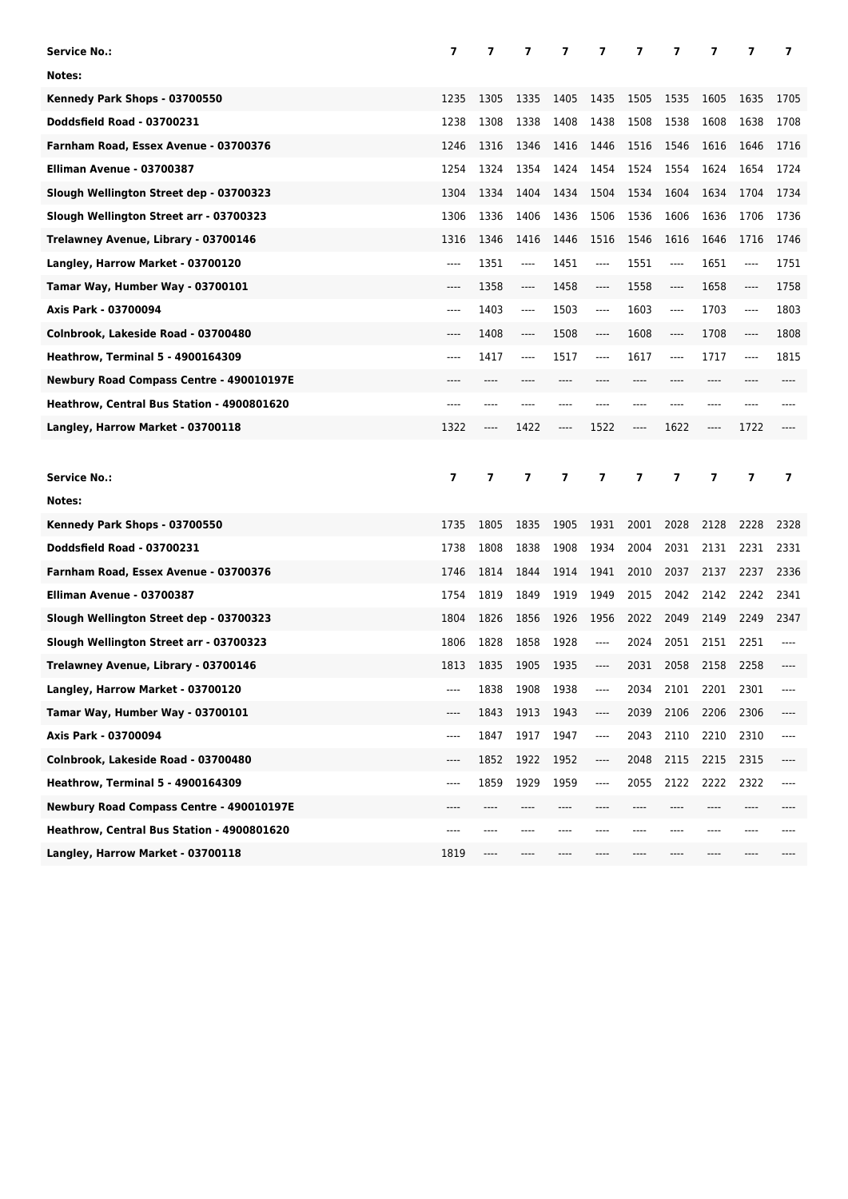| Service No.:                               | 7              | 7              | 7    | 7                        | 7                             | 7    | 7       | 7     | 7              | 7              |
|--------------------------------------------|----------------|----------------|------|--------------------------|-------------------------------|------|---------|-------|----------------|----------------|
| Notes:                                     |                |                |      |                          |                               |      |         |       |                |                |
| Kennedy Park Shops - 03700550              | 1235           | 1305           | 1335 | 1405                     | 1435                          | 1505 | 1535    | 1605  | 1635           | 1705           |
| <b>Doddsfield Road - 03700231</b>          | 1238           | 1308           | 1338 | 1408                     | 1438                          | 1508 | 1538    | 1608  | 1638           | 1708           |
| Farnham Road, Essex Avenue - 03700376      | 1246           | 1316           | 1346 | 1416                     | 1446                          | 1516 | 1546    | 1616  | 1646           | 1716           |
| Elliman Avenue - 03700387                  | 1254           | 1324           | 1354 | 1424                     | 1454                          | 1524 | 1554    | 1624  | 1654           | 1724           |
| Slough Wellington Street dep - 03700323    | 1304           | 1334           | 1404 | 1434                     | 1504                          | 1534 | 1604    | 1634  | 1704           | 1734           |
| Slough Wellington Street arr - 03700323    | 1306           | 1336           | 1406 | 1436                     | 1506                          | 1536 | 1606    | 1636  | 1706           | 1736           |
| Trelawney Avenue, Library - 03700146       | 1316           | 1346           | 1416 | 1446                     | 1516                          | 1546 | 1616    | 1646  | 1716           | 1746           |
| Langley, Harrow Market - 03700120          | ----           | 1351           | ---- | 1451                     | $---$                         | 1551 | ----    | 1651  | ----           | 1751           |
| Tamar Way, Humber Way - 03700101           | $---$          | 1358           | ---- | 1458                     | $---$                         | 1558 | $---$   | 1658  | ----           | 1758           |
| Axis Park - 03700094                       | $---$          | 1403           | ---- | 1503                     | $-----$                       | 1603 | ----    | 1703  | ----           | 1803           |
| Colnbrook, Lakeside Road - 03700480        | $---$          | 1408           | ---- | 1508                     | $---$                         | 1608 | $-----$ | 1708  | ----           | 1808           |
| <b>Heathrow, Terminal 5 - 4900164309</b>   | $---$          | 1417           | ---- | 1517                     | $---$                         | 1617 | ----    | 1717  | ----           | 1815           |
| Newbury Road Compass Centre - 490010197E   | ----           | ----           |      | ----                     |                               | ---- | $---$   | $---$ |                |                |
| Heathrow, Central Bus Station - 4900801620 | ----           | ----           |      | ----                     |                               | ---- | ----    | $---$ | ----           |                |
| Langley, Harrow Market - 03700118          | 1322           | ----           | 1422 | ----                     | 1522                          | ---- | 1622    | ----  | 1722           |                |
|                                            |                |                |      |                          |                               |      |         |       |                |                |
|                                            |                |                |      |                          |                               |      |         |       |                |                |
| <b>Service No.:</b>                        | $\overline{7}$ | $\overline{ }$ | 7    | $\overline{\phantom{a}}$ | 7                             | 7    | 7       | 7     | $\overline{ }$ | $\overline{ }$ |
| Notes:                                     |                |                |      |                          |                               |      |         |       |                |                |
| Kennedy Park Shops - 03700550              | 1735           | 1805           | 1835 | 1905                     | 1931                          | 2001 | 2028    | 2128  | 2228           | 2328           |
| <b>Doddsfield Road - 03700231</b>          | 1738           | 1808           | 1838 | 1908                     | 1934                          | 2004 | 2031    | 2131  | 2231           | 2331           |
| Farnham Road, Essex Avenue - 03700376      | 1746           | 1814           | 1844 | 1914                     | 1941                          | 2010 | 2037    | 2137  | 2237           | 2336           |
| Elliman Avenue - 03700387                  | 1754           | 1819           | 1849 | 1919                     | 1949                          | 2015 | 2042    | 2142  | 2242           | 2341           |
| Slough Wellington Street dep - 03700323    | 1804           | 1826           | 1856 | 1926                     | 1956                          | 2022 | 2049    | 2149  | 2249           | 2347           |
| Slough Wellington Street arr - 03700323    | 1806           | 1828           | 1858 | 1928                     | $---$                         | 2024 | 2051    | 2151  | 2251           |                |
| Trelawney Avenue, Library - 03700146       | 1813           | 1835           | 1905 | 1935                     | $\cdots$                      | 2031 | 2058    | 2158  | 2258           |                |
| Langley, Harrow Market - 03700120          |                | 1838           | 1908 | 1938                     | $\qquad \qquad - - -$         | 2034 | 2101    | 2201  | 2301           |                |
| Tamar Way, Humber Way - 03700101           | ----           | 1843           | 1913 | 1943                     | $---$                         | 2039 | 2106    | 2206  | 2306           |                |
| Axis Park - 03700094                       | ----           | 1847           | 1917 | 1947                     | $\hspace{1.5cm} \textbf{---}$ | 2043 | 2110    | 2210  | 2310           | ----           |
| Colnbrook, Lakeside Road - 03700480        | ----           | 1852           | 1922 | 1952                     | $\hspace{1.5cm} \textbf{---}$ | 2048 | 2115    | 2215  | 2315           | ----           |
| <b>Heathrow, Terminal 5 - 4900164309</b>   | ----           | 1859           | 1929 | 1959                     | ----                          | 2055 | 2122    | 2222  | 2322           | ----           |
| Newbury Road Compass Centre - 490010197E   | ----           | ----           |      |                          |                               |      |         |       | ----           |                |
| Heathrow, Central Bus Station - 4900801620 | ----           | ----           | ---- | ----                     |                               |      | ----    | ----  | ----           |                |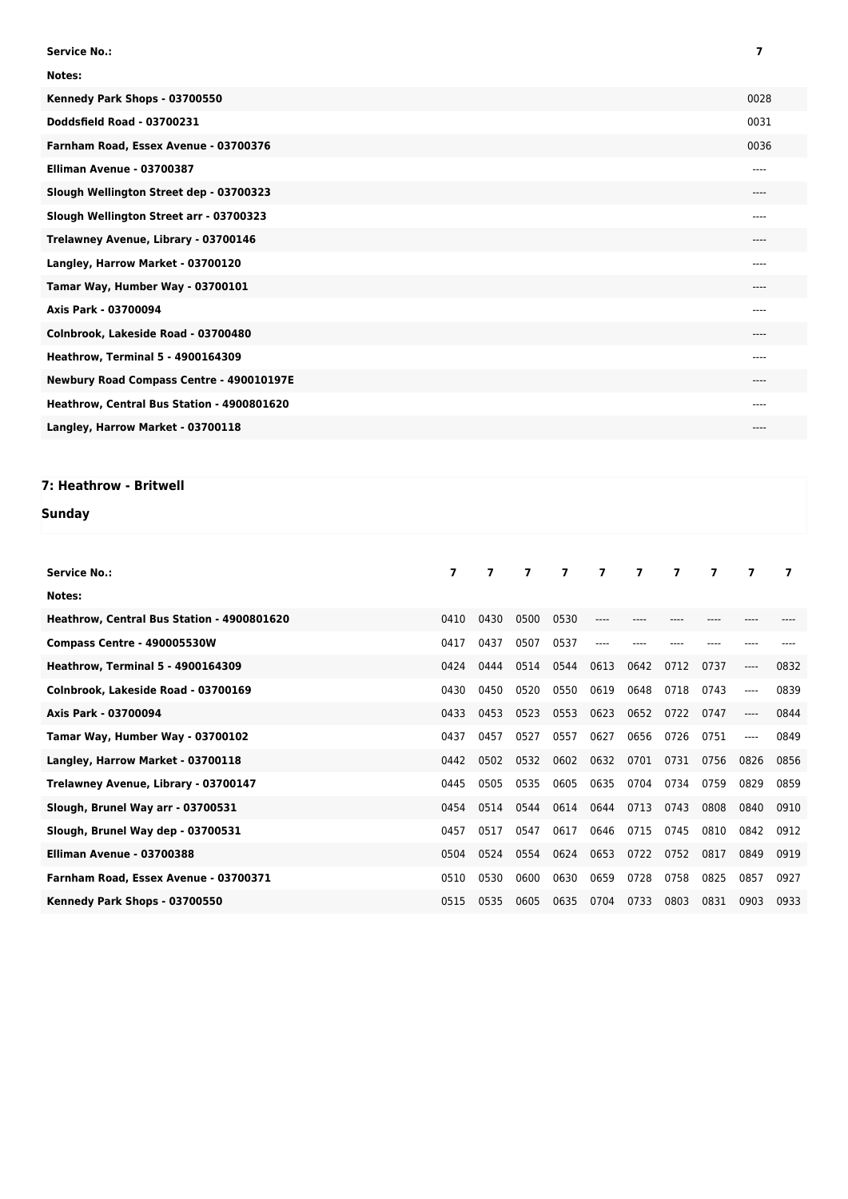| <b>Service No.:</b>                        | 7       |
|--------------------------------------------|---------|
| Notes:                                     |         |
| Kennedy Park Shops - 03700550              | 0028    |
| Doddsfield Road - 03700231                 | 0031    |
| Farnham Road, Essex Avenue - 03700376      | 0036    |
| Elliman Avenue - 03700387                  | $---$   |
| Slough Wellington Street dep - 03700323    | $---$   |
| Slough Wellington Street arr - 03700323    | $---$   |
| Trelawney Avenue, Library - 03700146       | $---$   |
| Langley, Harrow Market - 03700120          | $---$   |
| Tamar Way, Humber Way - 03700101           | $----$  |
| Axis Park - 03700094                       | $---$   |
| Colnbrook, Lakeside Road - 03700480        | $--- -$ |
| <b>Heathrow, Terminal 5 - 4900164309</b>   | $----$  |
| Newbury Road Compass Centre - 490010197E   | $----$  |
| Heathrow, Central Bus Station - 4900801620 | $---$   |
| Langley, Harrow Market - 03700118          | $---$   |

## **7: Heathrow - Britwell**

## **Sunday**

| <b>Service No.:</b>                        | $\overline{ }$ | $\overline{\phantom{a}}$ | $\overline{\mathbf{z}}$ | $\overline{\mathbf{z}}$ | $\overline{7}$ | $\overline{ }$ | $\overline{\phantom{a}}$ | 7    | 7       | 7    |
|--------------------------------------------|----------------|--------------------------|-------------------------|-------------------------|----------------|----------------|--------------------------|------|---------|------|
| Notes:                                     |                |                          |                         |                         |                |                |                          |      |         |      |
| Heathrow, Central Bus Station - 4900801620 | 0410           | 0430                     | 0500                    | 0530                    |                |                |                          |      |         |      |
| Compass Centre - 490005530W                | 0417           | 0437                     | 0507                    | 0537                    | ----           |                |                          |      |         |      |
| <b>Heathrow, Terminal 5 - 4900164309</b>   | 0424           | 0444                     | 0514                    | 0544                    | 0613           | 0642           | 0712                     | 0737 | $-----$ | 0832 |
| Colnbrook, Lakeside Road - 03700169        | 0430           | 0450                     | 0520                    | 0550                    | 0619           | 0648           | 0718                     | 0743 | $---$   | 0839 |
| Axis Park - 03700094                       | 0433           | 0453                     | 0523                    | 0553                    | 0623           | 0652           | 0722                     | 0747 | $-----$ | 0844 |
| Tamar Way, Humber Way - 03700102           | 0437           | 0457                     | 0527                    | 0557                    | 0627           | 0656           | 0726                     | 0751 | $---$   | 0849 |
| Langley, Harrow Market - 03700118          | 0442           | 0502                     | 0532                    | 0602                    | 0632           | 0701           | 0731                     | 0756 | 0826    | 0856 |
| Trelawney Avenue, Library - 03700147       | 0445           | 0505                     | 0535                    | 0605                    | 0635           | 0704           | 0734                     | 0759 | 0829    | 0859 |
| Slough, Brunel Way arr - 03700531          | 0454           | 0514                     | 0544                    | 0614                    | 0644           | 0713           | 0743                     | 0808 | 0840    | 0910 |
| Slough, Brunel Way dep - 03700531          | 0457           | 0517                     | 0547                    | 0617                    | 0646           | 0715           | 0745                     | 0810 | 0842    | 0912 |
| Elliman Avenue - 03700388                  | 0504           | 0524                     | 0554                    | 0624                    | 0653           | 0722           | 0752                     | 0817 | 0849    | 0919 |
| Farnham Road, Essex Avenue - 03700371      | 0510           | 0530                     | 0600                    | 0630                    | 0659           | 0728           | 0758                     | 0825 | 0857    | 0927 |
| Kennedy Park Shops - 03700550              | 0515           | 0535                     | 0605                    | 0635                    | 0704           | 0733           | 0803                     | 0831 | 0903    | 0933 |